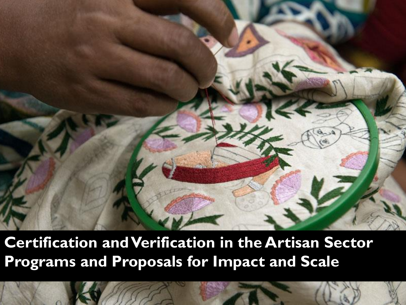

**Certification and Verification in the Artisan Sector Programs and Proposals for Impact and Scale**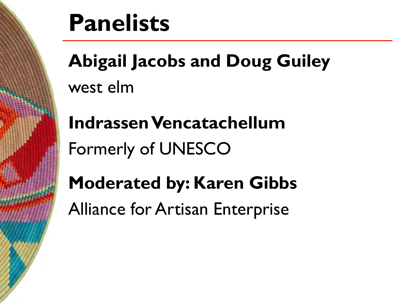

## **Panelists**

**Abigail Jacobs and Doug Guiley** west elm

**IndrassenVencatachellum** Formerly of UNESCO

**Moderated by: Karen Gibbs** Alliance for Artisan Enterprise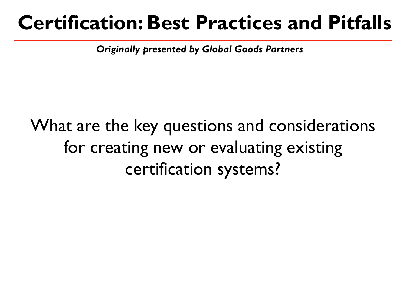## **Certification: Best Practices and Pitfalls**

*Originally presented by Global Goods Partners*

## What are the key questions and considerations for creating new or evaluating existing certification systems?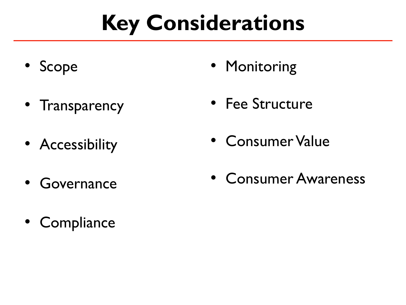## **Key Considerations**

- Scope
- Transparency
- Accessibility
- Governance
- Compliance
- Monitoring
- Fee Structure
- Consumer Value
- Consumer Awareness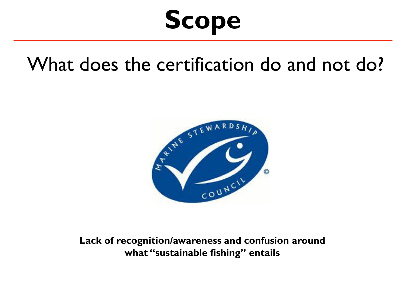# **Scope**

### What does the certification do and not do?



**Lack of recognition/awareness and confusion around what "sustainable fishing" entails**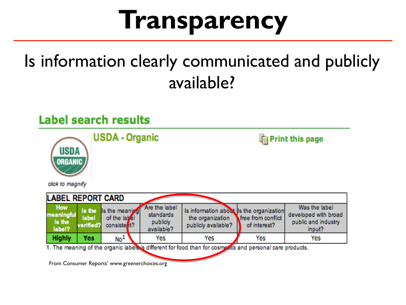# **Transparency**

### Is information clearly communicated and publicly available?



From Consumer Reports' www.greenerchoices.org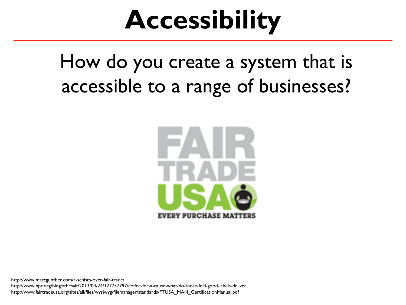# **Accessibility**

How do you create a system that is accessible to a range of businesses?



http://www.marcgunther.com/a-schism-over-fair-trade/ http://www.npr.org/blogs/thesalt/2013/04/24/177757797/coffee-for-a-cause-what-do-those-feel-good-labels-deliver http://www.fairtradeusa.org/sites/all/files/wysiwyg/filemanager/standards/FTUSA\_MAN\_CertificationManual.pdf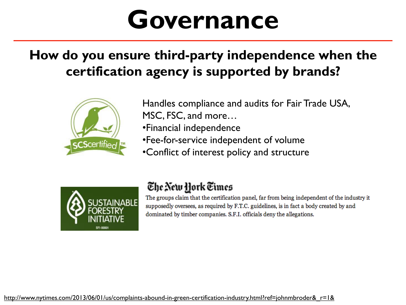## **Governance**

#### **How do you ensure third-party independence when the certification agency is supported by brands?**



Handles compliance and audits for Fair Trade USA, MSC, FSC, and more…

•Financial independence

•Fee-for-service independent of volume

•Conflict of interest policy and structure



#### The New Hork Times

The groups claim that the certification panel, far from being independent of the industry it supposedly oversees, as required by F.T.C. guidelines, is in fact a body created by and dominated by timber companies. S.F.I. officials deny the allegations.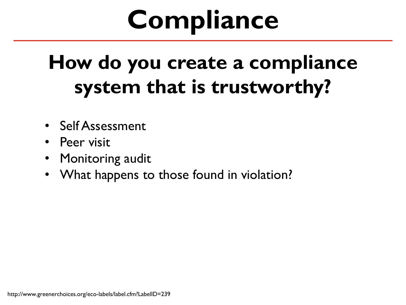# **Compliance**

## **How do you create a compliance system that is trustworthy?**

- Self Assessment
- Peer visit
- Monitoring audit
- What happens to those found in violation?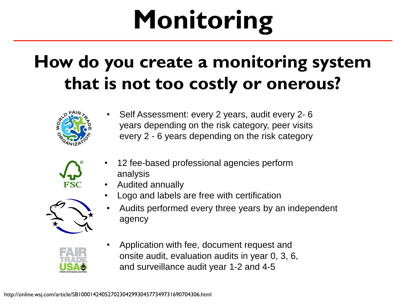# **Monitoring**

### **How do you create a monitoring system that is not too costly or onerous?**



• Self Assessment: every 2 years, audit every 2- 6 years depending on the risk category, peer visits every 2 - 6 years depending on the risk category

| Q |
|---|
|   |
|   |

- 12 fee-based professional agencies perform analysis
- Audited annually



- Logo and labels are free with certification
- Audits performed every three years by an independent agency



• Application with fee, document request and onsite audit, evaluation audits in year 0, 3, 6, and surveillance audit year 1-2 and 4-5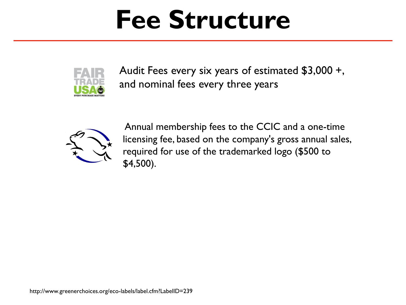# **Fee Structure**



Audit Fees every six years of estimated \$3,000 +, and nominal fees every three years



Annual membership fees to the CCIC and a one-time licensing fee, based on the company's gross annual sales, required for use of the trademarked logo (\$500 to \$4,500).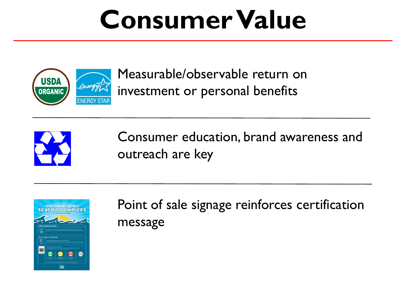# **Consumer Value**



Measurable/observable return on investment or personal benefits



Consumer education, brand awareness and outreach are key



Point of sale signage reinforces certification message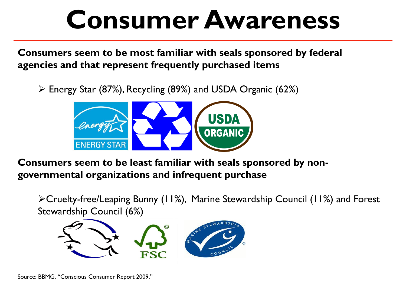# **Consumer Awareness**

**Consumers seem to be most familiar with seals sponsored by federal agencies and that represent frequently purchased items**

 $\triangleright$  Energy Star (87%), Recycling (89%) and USDA Organic (62%)



**Consumers seem to be least familiar with seals sponsored by nongovernmental organizations and infrequent purchase**

Cruelty-free/Leaping Bunny (11%), Marine Stewardship Council (11%) and Forest Stewardship Council (6%)



Source: BBMG, "Conscious Consumer Report 2009."